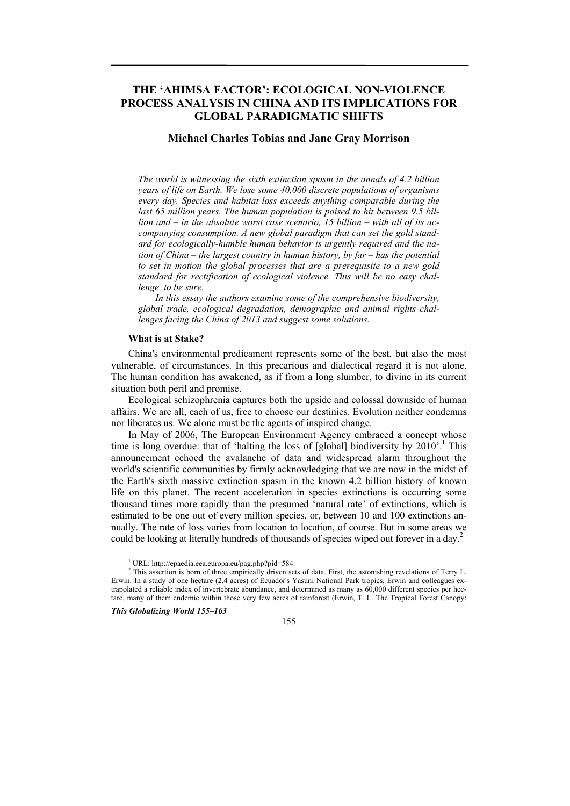# **THE 'AHIMSA FACTOR': ECOLOGICAL NON-VIOLENCE PROCESS ANALYSIS IN CHINA AND ITS IMPLICATIONS FOR GLOBAL PARADIGMATIC SHIFTS**

# **Michael Charles Tobias and Jane Gray Morrison**

*The world is witnessing the sixth extinction spasm in the annals of 4.2 billion years of life on Earth. We lose some 40,000 discrete populations of organisms every day. Species and habitat loss exceeds anything comparable during the last 65 million years. The human population is poised to hit between 9.5 billion and – in the absolute worst case scenario, 15 billion – with all of its accompanying consumption. A new global paradigm that can set the gold standard for ecologically-humble human behavior is urgently required and the nation of China – the largest country in human history, by far – has the potential to set in motion the global processes that are a prerequisite to a new gold standard for rectification of ecological violence. This will be no easy challenge, to be sure.*

*In this essay the authors examine some of the comprehensive biodiversity, global trade, ecological degradation, demographic and animal rights challenges facing the China of 2013 and suggest some solutions.*

#### **What is at Stake?**

China's environmental predicament represents some of the best, but also the most vulnerable, of circumstances. In this precarious and dialectical regard it is not alone. The human condition has awakened, as if from a long slumber, to divine in its current situation both peril and promise.

Ecological schizophrenia captures both the upside and colossal downside of human affairs. We are all, each of us, free to choose our destinies. Evolution neither condemns nor liberates us. We alone must be the agents of inspired change.

In May of 2006, The European Environment Agency embraced a concept whose time is long overdue: that of 'halting the loss of [global] biodiversity by  $2010$ <sup>'</sup>.<sup>1</sup> This announcement echoed the avalanche of data and widespread alarm throughout the world's scientific communities by firmly acknowledging that we are now in the midst of the Earth's sixth massive extinction spasm in the known 4.2 billion history of known life on this planet. The recent acceleration in species extinctions is occurring some thousand times more rapidly than the presumed 'natural rate' of extinctions, which is estimated to be one out of every million species, or, between 10 and 100 extinctions annually. The rate of loss varies from location to location, of course. But in some areas we could be looking at literally hundreds of thousands of species wiped out forever in a day.<sup>2</sup>

*This Globalizing World 155–163* 



 $\overline{1}$ URL: http://epaedia.eea.europa.eu/pag.php?pid=584. 2

<sup>&</sup>lt;sup>2</sup> This assertion is born of three empirically driven sets of data. First, the astonishing revelations of Terry L. Erwin. In a study of one hectare (2.4 acres) of Ecuador's Yasuni National Park tropics, Erwin and colleagues extrapolated a reliable index of invertebrate abundance, and determined as many as 60,000 different species per hectare, many of them endemic within those very few acres of rainforest (Erwin, T. L. The Tropical Forest Canopy: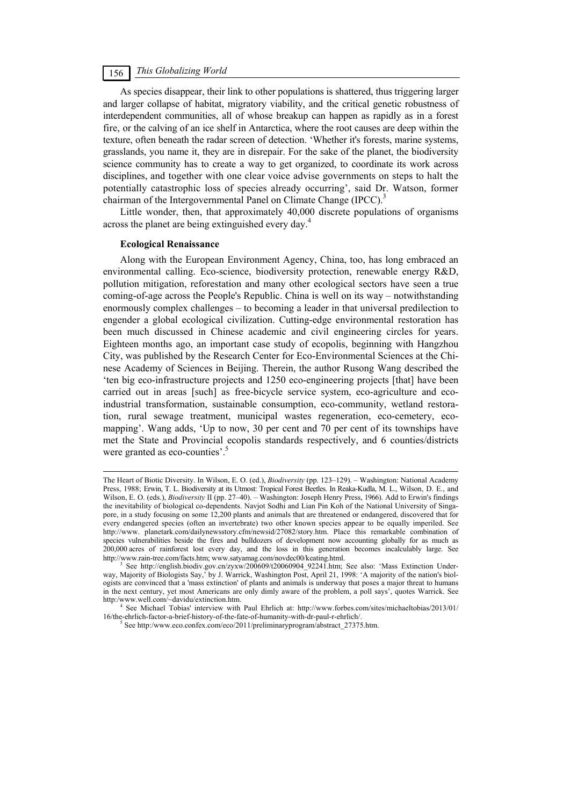# *This Globalizing World* 156

As species disappear, their link to other populations is shattered, thus triggering larger and larger collapse of habitat, migratory viability, and the critical genetic robustness of interdependent communities, all of whose breakup can happen as rapidly as in a forest fire, or the calving of an ice shelf in Antarctica, where the root causes are deep within the texture, often beneath the radar screen of detection. 'Whether it's forests, marine systems, grasslands, you name it, they are in disrepair. For the sake of the planet, the biodiversity science community has to create a way to get organized, to coordinate its work across disciplines, and together with one clear voice advise governments on steps to halt the potentially catastrophic loss of species already occurring', said Dr. Watson, former chairman of the Intergovernmental Panel on Climate Change (IPCC).<sup>3</sup>

Little wonder, then, that approximately 40,000 discrete populations of organisms across the planet are being extinguished every day.<sup>4</sup>

#### **Ecological Renaissance**

Along with the European Environment Agency, China, too, has long embraced an environmental calling. Eco-science, biodiversity protection, renewable energy R&D, pollution mitigation, reforestation and many other ecological sectors have seen a true coming-of-age across the People's Republic. China is well on its way – notwithstanding enormously complex challenges – to becoming a leader in that universal predilection to engender a global ecological civilization. Cutting-edge environmental restoration has been much discussed in Chinese academic and civil engineering circles for years. Eighteen months ago, an important case study of ecopolis, beginning with Hangzhou City, was published by the Research Center for Eco-Environmental Sciences at the Chinese Academy of Sciences in Beijing. Therein, the author Rusong Wang described the 'ten big eco-infrastructure projects and 1250 eco-engineering projects [that] have been carried out in areas [such] as free-bicycle service system, eco-agriculture and ecoindustrial transformation, sustainable consumption, eco-community, wetland restoration, rural sewage treatment, municipal wastes regeneration, eco-cemetery, ecomapping'. Wang adds, 'Up to now, 30 per cent and 70 per cent of its townships have met the State and Provincial ecopolis standards respectively, and 6 counties/districts were granted as eco-counties'.<sup>5</sup>

The Heart of Biotic Diversity. In Wilson, E. O. (ed.), *Biodiversity* (pp. 123–129). – Washington: National Academy Press, 1988; Erwin, T. L. Biodiversity at its Utmost: Tropical Forest Beetles. In Reaka-Kudla, M. L., Wilson, D. E., and Wilson, E. O. (eds.), *Biodiversity* II (pp. 27–40). – Washington: Joseph Henry Press, 1966). Add to Erwin's findings the inevitability of biological co-dependents. Navjot Sodhi and Lian Pin Koh of the National University of Singapore, in a study focusing on some 12,200 plants and animals that are threatened or endangered, discovered that for every endangered species (often an invertebrate) two other known species appear to be equally imperiled. See http://www. planetark.com/dailynewsstory.cfm/newsid/27082/story.htm. Place this remarkable combination of species vulnerabilities beside the fires and bulldozers of development now accounting globally for as much as 200,000 acres of rainforest lost every day, and the loss in this generation becomes incalculably large. See http://www.rain-tree.com/facts.htm; www.satyamag.com/novdec00/keating.html. 3

See http://english.biodiv.gov.cn/zyxw/200609/t20060904\_92241.htm; See also: 'Mass Extinction Underway, Majority of Biologists Say,' by J. Warrick, Washington Post, April 21, 1998: 'A majority of the nation's biologists are convinced that a 'mass extinction' of plants and animals is underway that poses a major threat to humans in the next century, yet most Americans are only dimly aware of the problem, a poll says', quotes Warrick. See http:/www.well.com/~davidu/extinction.htm.

See Michael Tobias' interview with Paul Ehrlich at: http://www.forbes.com/sites/michaeltobias/2013/01/ 16/the-ehrlich-factor-a-brief-history-of-the-fate-of-humanity-with-dr-paul-r-ehrlich/. 5

 $5$  See http:/www.eco.confex.com/eco/2011/preliminaryprogram/abstract 27375.htm.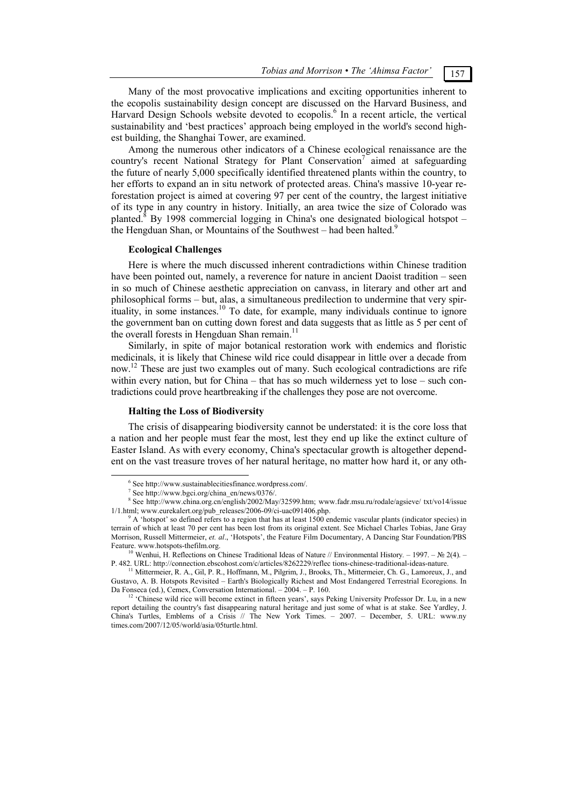*Tobias and Morrison • The 'Ahimsa Factor'* 157

Many of the most provocative implications and exciting opportunities inherent to the ecopolis sustainability design concept are discussed on the Harvard Business, and Harvard Design Schools website devoted to ecopolis.<sup>6</sup> In a recent article, the vertical sustainability and 'best practices' approach being employed in the world's second highest building, the Shanghai Tower, are examined.

Among the numerous other indicators of a Chinese ecological renaissance are the country's recent National Strategy for Plant Conservation<sup>7</sup> aimed at safeguarding the future of nearly 5,000 specifically identified threatened plants within the country, to her efforts to expand an in situ network of protected areas. China's massive 10-year reforestation project is aimed at covering 97 per cent of the country, the largest initiative of its type in any country in history. Initially, an area twice the size of Colorado was planted.<sup>8</sup> By 1998 commercial logging in China's one designated biological hotspot – the Hengduan Shan, or Mountains of the Southwest – had been halted.<sup>9</sup>

#### **Ecological Challenges**

Here is where the much discussed inherent contradictions within Chinese tradition have been pointed out, namely, a reverence for nature in ancient Daoist tradition – seen in so much of Chinese aesthetic appreciation on canvass, in literary and other art and philosophical forms – but, alas, a simultaneous predilection to undermine that very spirituality, in some instances.<sup>10</sup> To date, for example, many individuals continue to ignore the government ban on cutting down forest and data suggests that as little as 5 per cent of the overall forests in Hengduan Shan remain.<sup>11</sup>

Similarly, in spite of major botanical restoration work with endemics and floristic medicinals, it is likely that Chinese wild rice could disappear in little over a decade from now.<sup>12</sup> These are just two examples out of many. Such ecological contradictions are rife within every nation, but for China – that has so much wilderness yet to lose – such contradictions could prove heartbreaking if the challenges they pose are not overcome.

#### **Halting the Loss of Biodiversity**

The crisis of disappearing biodiversity cannot be understated: it is the core loss that a nation and her people must fear the most, lest they end up like the extinct culture of Easter Island. As with every economy, China's spectacular growth is altogether dependent on the vast treasure troves of her natural heritage, no matter how hard it, or any oth-

 $\overline{6}$  $6$  See http://www.sustainablecitiesfinance.wordpress.com/.

See http://www.bgci.org/china\_en/news/0376/.

<sup>8</sup> See http://www.china.org.cn/english/2002/May/32599.htm; www.fadr.msu.ru/rodale/agsieve/ txt/vo14/issue 1/1.html; www.eurekalert.org/pub\_releases/2006-09/ci-uac091406.php.

 $\beta$  A 'hotspot' so defined refers to a region that has at least 1500 endemic vascular plants (indicator species) in terrain of which at least 70 per cent has been lost from its original extent. See Michael Charles Tobias, Jane Gray Morrison, Russell Mittermeier, *et. al*., 'Hotspots', the Feature Film Documentary, A Dancing Star Foundation/PBS Feature. www.hotspots-thefilm.org. 10 Wenhui, H. Reflections on Chinese Traditional Ideas of Nature // Environmental History*. –* 1997. – № 2(4). –

P. 482. URL: http://connection.ebscohost.com/c/articles/8262229/reflec tions-chinese-traditional-ideas-nature. 11 Mittermeier, R. A., Gil, P. R., Hoffmann, M., Pilgrim, J., Brooks, Th., Mittermeier, Ch. G., Lamoreux, J., and

Gustavo, A. B. Hotspots Revisited – Earth's Biologically Richest and Most Endangered Terrestrial Ecoregions. In Da Fonseca (ed.), Cemex, Conversation International. – 2004. – P. 160. <sup>12</sup> 'Chinese wild rice will become extinct in fifteen years', says Peking University Professor Dr. Lu, in a new

report detailing the country's fast disappearing natural heritage and just some of what is at stake. See Yardley, J. China's Turtles, Emblems of a Crisis // The New York Times. – 2007. – December, 5. URL: www.ny times.com/2007/12/05/world/asia/05turtle.html.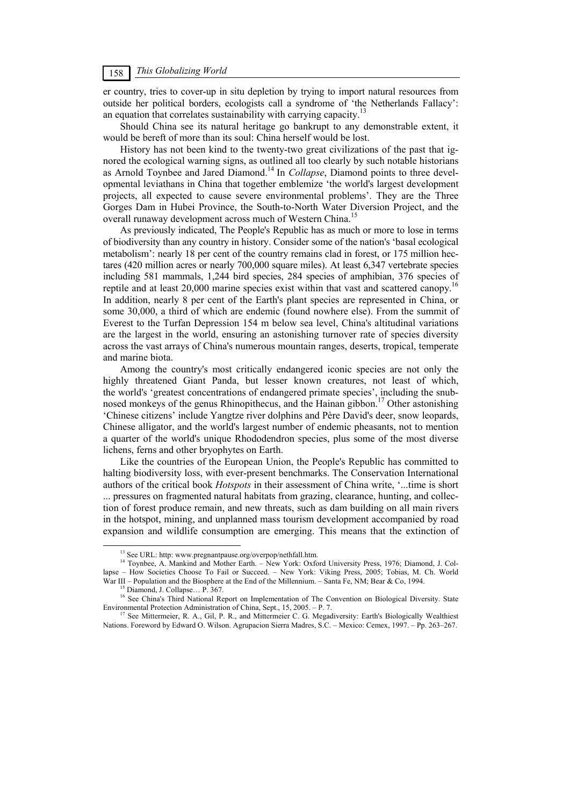# *This Globalizing World* 158

er country, tries to cover-up in situ depletion by trying to import natural resources from outside her political borders, ecologists call a syndrome of 'the Netherlands Fallacy': an equation that correlates sustainability with carrying capacity.<sup>1</sup>

Should China see its natural heritage go bankrupt to any demonstrable extent, it would be bereft of more than its soul: China herself would be lost.

History has not been kind to the twenty-two great civilizations of the past that ignored the ecological warning signs, as outlined all too clearly by such notable historians as Arnold Toynbee and Jared Diamond.14 In *Collapse*, Diamond points to three developmental leviathans in China that together emblemize 'the world's largest development projects, all expected to cause severe environmental problems'. They are the Three Gorges Dam in Hubei Province, the South-to-North Water Diversion Project, and the overall runaway development across much of Western China.<sup>15</sup>

As previously indicated, The People's Republic has as much or more to lose in terms of biodiversity than any country in history. Consider some of the nation's 'basal ecological metabolism': nearly 18 per cent of the country remains clad in forest, or 175 million hectares (420 million acres or nearly 700,000 square miles). At least 6,347 vertebrate species including 581 mammals, 1,244 bird species, 284 species of amphibian, 376 species of reptile and at least 20,000 marine species exist within that vast and scattered canopy.16 In addition, nearly 8 per cent of the Earth's plant species are represented in China, or some 30,000, a third of which are endemic (found nowhere else). From the summit of Everest to the Turfan Depression 154 m below sea level, China's altitudinal variations are the largest in the world, ensuring an astonishing turnover rate of species diversity across the vast arrays of China's numerous mountain ranges, deserts, tropical, temperate and marine biota.

Among the country's most critically endangered iconic species are not only the highly threatened Giant Panda, but lesser known creatures, not least of which, the world's 'greatest concentrations of endangered primate species', including the snubnosed monkeys of the genus Rhinopithecus, and the Hainan gibbon.<sup>17</sup> Other astonishing 'Chinese citizens' include Yangtze river dolphins and Père David's deer, snow leopards, Chinese alligator, and the world's largest number of endemic pheasants, not to mention a quarter of the world's unique Rhododendron species, plus some of the most diverse lichens, ferns and other bryophytes on Earth.

Like the countries of the European Union, the People's Republic has committed to halting biodiversity loss, with ever-present benchmarks. The Conservation International authors of the critical book *Hotspots* in their assessment of China write, '...time is short ... pressures on fragmented natural habitats from grazing, clearance, hunting, and collection of forest produce remain, and new threats, such as dam building on all main rivers in the hotspot, mining, and unplanned mass tourism development accompanied by road expansion and wildlife consumption are emerging. This means that the extinction of

<sup>&</sup>lt;sup>13</sup> See URL: http: www.pregnantpause.org/overpop/nethfall.htm.

<sup>14</sup> Toynbee, A. Mankind and Mother Earth. – New York: Oxford University Press, 1976; Diamond, J. Collapse – How Societies Choose To Fail or Succeed. – New York: Viking Press, 2005; Tobias, M. Ch. World War III – Population and the Biosphere at the End of the Millennium. – Santa Fe, NM; Bear & Co, 1994.<br><sup>15</sup> Diamond, J. Collapse… P. 367.

<sup>&</sup>lt;sup>16</sup> See China's Third National Report on Implementation of The Convention on Biological Diversity. State Environmental Protection Administration of China, Sept., 15, 2005. – P. 7.<br><sup>17</sup> See Mittermeier, R. A., Gil, P. R., and Mittermeier C. G. Megadiversity: Earth's Biologically Wealthiest

Nations. Foreword by Edward O. Wilson. Agrupacion Sierra Madres, S.C. – Mexico: Cemex, 1997. – Pp. 263–267.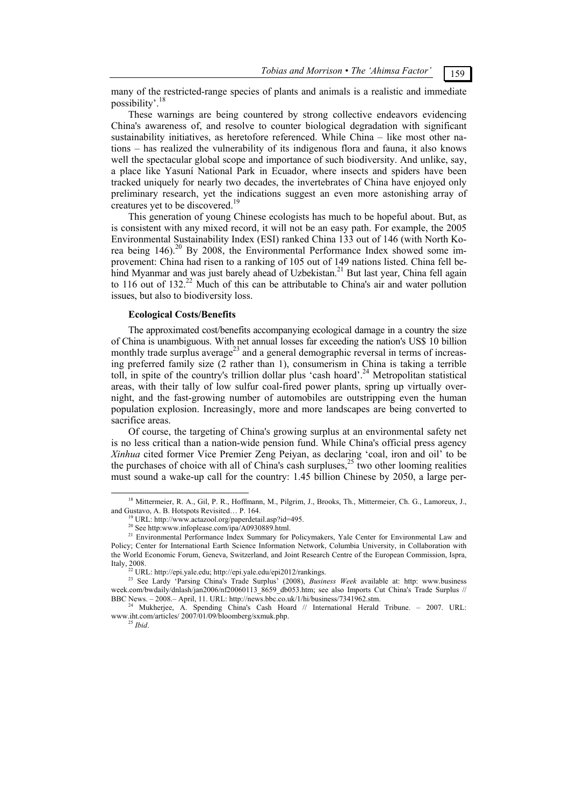many of the restricted-range species of plants and animals is a realistic and immediate possibility'.18

These warnings are being countered by strong collective endeavors evidencing China's awareness of, and resolve to counter biological degradation with significant sustainability initiatives, as heretofore referenced. While China – like most other nations – has realized the vulnerability of its indigenous flora and fauna, it also knows well the spectacular global scope and importance of such biodiversity. And unlike, say, a place like Yasuní National Park in Ecuador, where insects and spiders have been tracked uniquely for nearly two decades, the invertebrates of China have enjoyed only preliminary research, yet the indications suggest an even more astonishing array of creatures yet to be discovered.<sup>1</sup>

This generation of young Chinese ecologists has much to be hopeful about. But, as is consistent with any mixed record, it will not be an easy path. For example, the 2005 Environmental Sustainability Index (ESI) ranked China 133 out of 146 (with North Korea being 146).<sup>20</sup> By 2008, the Environmental Performance Index showed some improvement: China had risen to a ranking of 105 out of 149 nations listed. China fell behind Myanmar and was just barely ahead of Uzbekistan.<sup>21</sup> But last year, China fell again to 116 out of 132.<sup>22</sup> Much of this can be attributable to China's air and water pollution issues, but also to biodiversity loss.

#### **Ecological Costs/Benefits**

The approximated cost/benefits accompanying ecological damage in a country the size of China is unambiguous. With net annual losses far exceeding the nation's US\$ 10 billion monthly trade surplus average<sup>23</sup> and a general demographic reversal in terms of increasing preferred family size (2 rather than 1), consumerism in China is taking a terrible toll, in spite of the country's trillion dollar plus 'cash hoard'.<sup>24</sup> Metropolitan statistical areas, with their tally of low sulfur coal-fired power plants, spring up virtually overnight, and the fast-growing number of automobiles are outstripping even the human population explosion. Increasingly, more and more landscapes are being converted to sacrifice areas.

Of course, the targeting of China's growing surplus at an environmental safety net is no less critical than a nation-wide pension fund. While China's official press agency *Xinhua* cited former Vice Premier Zeng Peiyan, as declaring 'coal, iron and oil' to be the purchases of choice with all of China's cash surpluses,<sup>25</sup> two other looming realities must sound a wake-up call for the country: 1.45 billion Chinese by 2050, a large per-

<sup>&</sup>lt;sup>18</sup> Mittermeier, R. A., Gil, P. R., Hoffmann, M., Pilgrim, J., Brooks, Th., Mittermeier, Ch. G., Lamoreux, J., and Gustavo, A. B. Hotspots Revisited... P. 164.

<sup>&</sup>lt;sup>19</sup> URL: http://www.actazool.org/paperdetail.asp?id=495. 20 See http:www.infoplease.com/ipa/A0930889.html.

<sup>&</sup>lt;sup>21</sup> Environmental Performance Index Summary for Policymakers, Yale Center for Environmental Law and Policy; Center for International Earth Science Information Network, Columbia University, in Collaboration with the World Economic Forum, Geneva, Switzerland, and Joint Research Centre of the European Commission, Ispra, Italy, 2008. 22 URL: http://epi.yale.edu; http://epi.yale.edu/epi2012/rankings. 23 See Lardy 'Parsing China's Trade Surplus' (2008), *Business Week* available at: http: www.business

week.com/bwdaily/dnlash/jan2006/nf20060113\_8659\_db053.htm; see also Imports Cut China's Trade Surplus //<br>BBC News. - 2008.- April, 11. URL: http://news.bbc.co.uk/1/hi/business/7341962.stm.

Mukherjee, A. Spending China's Cash Hoard // International Herald Tribune. – 2007. URL: www.iht.com/articles/ 2007/01/09/bloomberg/sxmuk.php. 25 *Ibid*.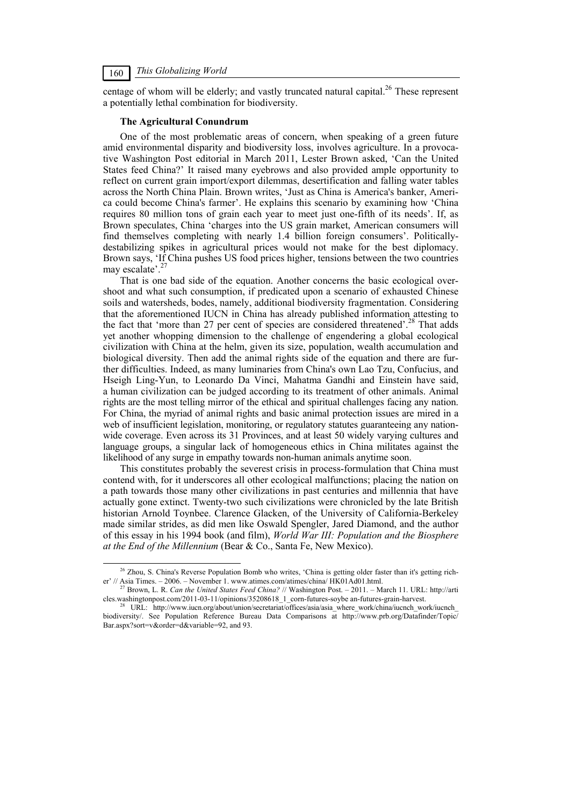centage of whom will be elderly; and vastly truncated natural capital.<sup>26</sup> These represent a potentially lethal combination for biodiversity.

# **The Agricultural Conundrum**

One of the most problematic areas of concern, when speaking of a green future amid environmental disparity and biodiversity loss, involves agriculture. In a provocative Washington Post editorial in March 2011, Lester Brown asked, 'Can the United States feed China?' It raised many eyebrows and also provided ample opportunity to reflect on current grain import/export dilemmas, desertification and falling water tables across the North China Plain. Brown writes, 'Just as China is America's banker, America could become China's farmer'. He explains this scenario by examining how 'China requires 80 million tons of grain each year to meet just one-fifth of its needs'. If, as Brown speculates, China 'charges into the US grain market, American consumers will find themselves completing with nearly 1.4 billion foreign consumers'. Politicallydestabilizing spikes in agricultural prices would not make for the best diplomacy. Brown says, 'If China pushes US food prices higher, tensions between the two countries may escalate'.

That is one bad side of the equation. Another concerns the basic ecological overshoot and what such consumption, if predicated upon a scenario of exhausted Chinese soils and watersheds, bodes, namely, additional biodiversity fragmentation. Considering that the aforementioned IUCN in China has already published information attesting to the fact that 'more than 27 per cent of species are considered threatened'.<sup>28</sup> That adds yet another whopping dimension to the challenge of engendering a global ecological civilization with China at the helm, given its size, population, wealth accumulation and biological diversity. Then add the animal rights side of the equation and there are further difficulties. Indeed, as many luminaries from China's own Lao Tzu, Confucius, and Hseigh Ling-Yun, to Leonardo Da Vinci, Mahatma Gandhi and Einstein have said, a human civilization can be judged according to its treatment of other animals. Animal rights are the most telling mirror of the ethical and spiritual challenges facing any nation. For China, the myriad of animal rights and basic animal protection issues are mired in a web of insufficient legislation, monitoring, or regulatory statutes guaranteeing any nationwide coverage. Even across its 31 Provinces, and at least 50 widely varying cultures and language groups, a singular lack of homogeneous ethics in China militates against the likelihood of any surge in empathy towards non-human animals anytime soon.

This constitutes probably the severest crisis in process-formulation that China must contend with, for it underscores all other ecological malfunctions; placing the nation on a path towards those many other civilizations in past centuries and millennia that have actually gone extinct. Twenty-two such civilizations were chronicled by the late British historian Arnold Toynbee. Clarence Glacken, of the University of California-Berkeley made similar strides, as did men like Oswald Spengler, Jared Diamond, and the author of this essay in his 1994 book (and film), *World War III: Population and the Biosphere at the End of the Millennium* (Bear & Co., Santa Fe, New Mexico).

<sup>&</sup>lt;sup>26</sup> Zhou, S. China's Reverse Population Bomb who writes, 'China is getting older faster than it's getting richer' // Asia Times. – 2006. – November 1. www.atimes.com/atimes/china/ HK01Ad01.html.

<sup>&</sup>lt;sup>27</sup> Brown, L. R. *Can the United States Feed China?* // Washington Post. – 2011. – March 11. URL: http://arti cles.washingtonpost.com/2011-03-11/opinions/35208618\_1\_corn-futures-soybe an-futures-grain-harvest.<br><sup>28</sup> URL: http://www.iucn.org/about/union/secretariat/offices/asia/asia\_where\_work/china/iucnch\_work/iucnch

biodiversity/. See Population Reference Bureau Data Comparisons at http://www.prb.org/Datafinder/Topic/ Bar.aspx?sort=v&order=d&variable=92, and 93.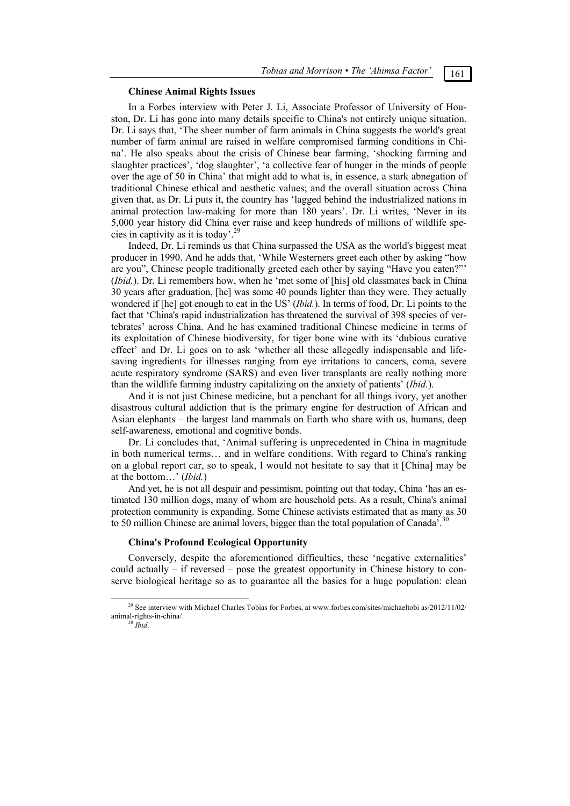## **Chinese Animal Rights Issues**

In a Forbes interview with Peter J. Li, Associate Professor of University of Houston, Dr. Li has gone into many details specific to China's not entirely unique situation. Dr. Li says that, 'The sheer number of farm animals in China suggests the world's great number of farm animal are raised in welfare compromised farming conditions in China'. He also speaks about the crisis of Chinese bear farming, 'shocking farming and slaughter practices', 'dog slaughter', 'a collective fear of hunger in the minds of people over the age of 50 in China' that might add to what is, in essence, a stark abnegation of traditional Chinese ethical and aesthetic values; and the overall situation across China given that, as Dr. Li puts it, the country has 'lagged behind the industrialized nations in animal protection law-making for more than 180 years'. Dr. Li writes, 'Never in its 5,000 year history did China ever raise and keep hundreds of millions of wildlife species in captivity as it is today'.<sup>29</sup>

Indeed, Dr. Li reminds us that China surpassed the USA as the world's biggest meat producer in 1990. And he adds that, 'While Westerners greet each other by asking "how are you", Chinese people traditionally greeted each other by saying "Have you eaten?"' (*Ibid.*). Dr. Li remembers how, when he 'met some of [his] old classmates back in China 30 years after graduation, [he] was some 40 pounds lighter than they were. They actually wondered if [he] got enough to eat in the US' (*Ibid.*). In terms of food, Dr. Li points to the fact that 'China's rapid industrialization has threatened the survival of 398 species of vertebrates' across China. And he has examined traditional Chinese medicine in terms of its exploitation of Chinese biodiversity, for tiger bone wine with its 'dubious curative effect' and Dr. Li goes on to ask 'whether all these allegedly indispensable and lifesaving ingredients for illnesses ranging from eye irritations to cancers, coma, severe acute respiratory syndrome (SARS) and even liver transplants are really nothing more than the wildlife farming industry capitalizing on the anxiety of patients' (*Ibid.*).

And it is not just Chinese medicine, but a penchant for all things ivory, yet another disastrous cultural addiction that is the primary engine for destruction of African and Asian elephants – the largest land mammals on Earth who share with us, humans, deep self-awareness, emotional and cognitive bonds.

Dr. Li concludes that, 'Animal suffering is unprecedented in China in magnitude in both numerical terms… and in welfare conditions. With regard to China's ranking on a global report car, so to speak, I would not hesitate to say that it [China] may be at the bottom…' (*Ibid.*)

And yet, he is not all despair and pessimism, pointing out that today, China 'has an estimated 130 million dogs, many of whom are household pets. As a result, China's animal protection community is expanding. Some Chinese activists estimated that as many as 30 to 50 million Chinese are animal lovers, bigger than the total population of Canada'.<sup>30</sup>

### **China's Profound Ecological Opportunity**

Conversely, despite the aforementioned difficulties, these 'negative externalities' could actually – if reversed – pose the greatest opportunity in Chinese history to conserve biological heritage so as to guarantee all the basics for a huge population: clean

<sup>&</sup>lt;sup>29</sup> See interview with Michael Charles Tobias for Forbes, at www.forbes.com/sites/michaeltobi as/2012/11/02/ animal-rights-in-china/. 30 *Ibid*.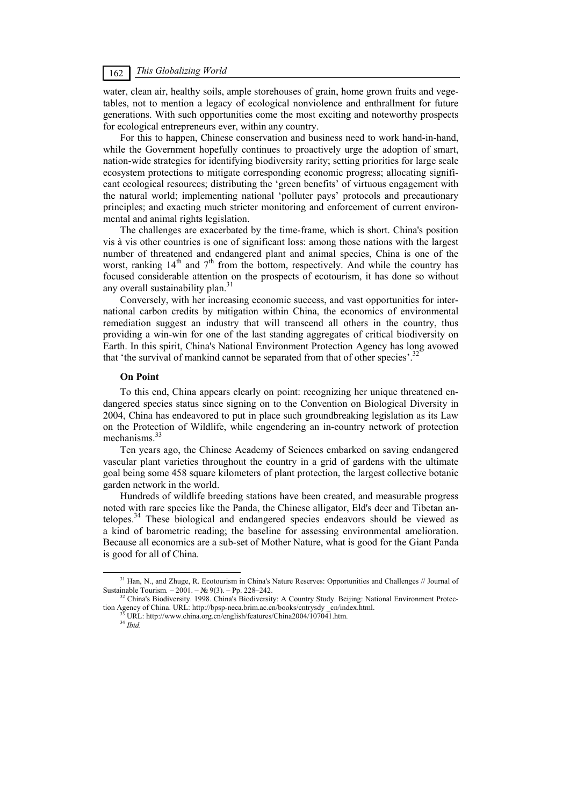# *This Globalizing World*

water, clean air, healthy soils, ample storehouses of grain, home grown fruits and vegetables, not to mention a legacy of ecological nonviolence and enthrallment for future generations. With such opportunities come the most exciting and noteworthy prospects for ecological entrepreneurs ever, within any country.

For this to happen, Chinese conservation and business need to work hand-in-hand, while the Government hopefully continues to proactively urge the adoption of smart, nation-wide strategies for identifying biodiversity rarity; setting priorities for large scale ecosystem protections to mitigate corresponding economic progress; allocating significant ecological resources; distributing the 'green benefits' of virtuous engagement with the natural world; implementing national 'polluter pays' protocols and precautionary principles; and exacting much stricter monitoring and enforcement of current environmental and animal rights legislation.

The challenges are exacerbated by the time-frame, which is short. China's position vis à vis other countries is one of significant loss: among those nations with the largest number of threatened and endangered plant and animal species, China is one of the worst, ranking  $14<sup>th</sup>$  and  $7<sup>th</sup>$  from the bottom, respectively. And while the country has focused considerable attention on the prospects of ecotourism, it has done so without any overall sustainability plan.<sup>31</sup>

Conversely, with her increasing economic success, and vast opportunities for international carbon credits by mitigation within China, the economics of environmental remediation suggest an industry that will transcend all others in the country, thus providing a win-win for one of the last standing aggregates of critical biodiversity on Earth. In this spirit, China's National Environment Protection Agency has long avowed that 'the survival of mankind cannot be separated from that of other species'.<sup>3</sup>

# **On Point**

To this end, China appears clearly on point: recognizing her unique threatened endangered species status since signing on to the Convention on Biological Diversity in 2004, China has endeavored to put in place such groundbreaking legislation as its Law on the Protection of Wildlife, while engendering an in-country network of protection mechanisms $^{33}$ 

Ten years ago, the Chinese Academy of Sciences embarked on saving endangered vascular plant varieties throughout the country in a grid of gardens with the ultimate goal being some 458 square kilometers of plant protection, the largest collective botanic garden network in the world.

Hundreds of wildlife breeding stations have been created, and measurable progress noted with rare species like the Panda, the Chinese alligator, Eld's deer and Tibetan antelopes.34 These biological and endangered species endeavors should be viewed as a kind of barometric reading; the baseline for assessing environmental amelioration. Because all economics are a sub-set of Mother Nature, what is good for the Giant Panda is good for all of China.

 <sup>31</sup> Han, N., and Zhuge, R. Ecotourism in China's Nature Reserves: Opportunities and Challenges // Journal of Sustainable Tourism*.* – 2001. – № 9(3). – Pp. 228–242. 32 China's Biodiversity. 1998. China's Biodiversity: A Country Study. Beijing: National Environment Protec-

tion Agency of China. URL: http://bpsp-neca.brim.ac.cn/books/cntrysdy \_cn/index.html. <sup>33</sup> URL: http://www.china.org.cn/english/features/China2004/107041.htm. <sup>34</sup> *Ibid.*